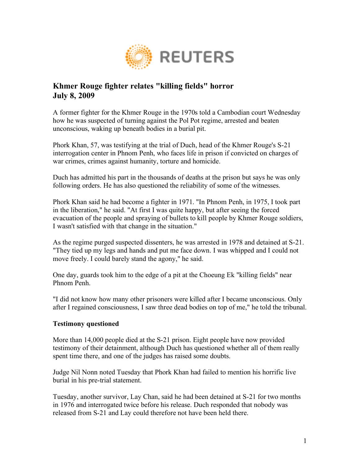

## **Khmer Rouge fighter relates "killing fields" horror July 8, 2009**

A former fighter for the Khmer Rouge in the 1970s told a Cambodian court Wednesday how he was suspected of turning against the Pol Pot regime, arrested and beaten unconscious, waking up beneath bodies in a burial pit.

Phork Khan, 57, was testifying at the trial of Duch, head of the Khmer Rouge's S-21 interrogation center in Phnom Penh, who faces life in prison if convicted on charges of war crimes, crimes against humanity, torture and homicide.

Duch has admitted his part in the thousands of deaths at the prison but says he was only following orders. He has also questioned the reliability of some of the witnesses.

Phork Khan said he had become a fighter in 1971. "In Phnom Penh, in 1975, I took part in the liberation," he said. "At first I was quite happy, but after seeing the forced evacuation of the people and spraying of bullets to kill people by Khmer Rouge soldiers, I wasn't satisfied with that change in the situation."

As the regime purged suspected dissenters, he was arrested in 1978 and detained at S-21. "They tied up my legs and hands and put me face down. I was whipped and I could not move freely. I could barely stand the agony," he said.

One day, guards took him to the edge of a pit at the Choeung Ek "killing fields" near Phnom Penh.

"I did not know how many other prisoners were killed after I became unconscious. Only after I regained consciousness, I saw three dead bodies on top of me," he told the tribunal.

## **Testimony questioned**

More than 14,000 people died at the S-21 prison. Eight people have now provided testimony of their detainment, although Duch has questioned whether all of them really spent time there, and one of the judges has raised some doubts.

Judge Nil Nonn noted Tuesday that Phork Khan had failed to mention his horrific live burial in his pre-trial statement.

Tuesday, another survivor, Lay Chan, said he had been detained at S-21 for two months in 1976 and interrogated twice before his release. Duch responded that nobody was released from S-21 and Lay could therefore not have been held there.